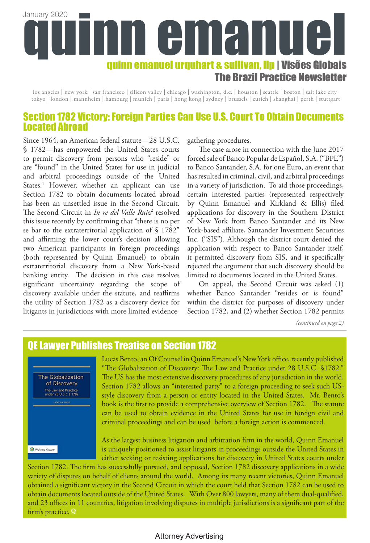# quinn emanuel urquhart & sullivan, llp | Visões Globais The Brazil Practice Newsletter January 2020

los angeles | new york | san francisco | silicon valley | chicago | washington, d.c. | houston | seattle | boston | salt lake city tokyo | london | mannheim | hamburg | munich | paris | hong kong | sydney | brussels | zurich | shanghai | perth | stuttgart

# Section 1782 Victory: Foreign Parties Can Use U.S. Court To Obtain Documents Located Abroad

Since 1964, an American federal statute—28 U.S.C. § 1782—has empowered the United States courts to permit discovery from persons who "reside" or are "found" in the United States for use in judicial and arbitral proceedings outside of the United States.<sup>1</sup> However, whether an applicant can use Section 1782 to obtain documents located abroad has been an unsettled issue in the Second Circuit. The Second Circuit in *In re del Valle Ruiz*<sup>2</sup> resolved this issue recently by confirming that "there is no per se bar to the extraterritorial application of § 1782" and affirming the lower court's decision allowing two American participants in foreign proceedings (both represented by Quinn Emanuel) to obtain extraterritorial discovery from a New York-based banking entity. The decision in this case resolves significant uncertainty regarding the scope of discovery available under the statute, and reaffirms the utility of Section 1782 as a discovery device for litigants in jurisdictions with more limited evidencegathering procedures.

The case arose in connection with the June 2017 forced sale of Banco Popular de Español, S.A. ("BPE") to Banco Santander, S.A. for one Euro, an event that has resulted in criminal, civil, and arbitral proceedings in a variety of jurisdiction. To aid those proceedings, certain interested parties (represented respectively by Quinn Emanuel and Kirkland & Ellis) filed applications for discovery in the Southern District of New York from Banco Santander and its New York-based affiliate, Santander Investment Securities Inc. ("SIS"). Although the district court denied the application with respect to Banco Santander itself, it permitted discovery from SIS, and it specifically rejected the argument that such discovery should be limited to documents located in the United States.

On appeal, the Second Circuit was asked (1) whether Banco Santander "resides or is found" within the district for purposes of discovery under Section 1782, and (2) whether Section 1782 permits

*(continued on page 2)*

# QE Lawyer Publishes Treatise on Section 1782



Lucas Bento, an Of Counsel in Quinn Emanuel's New York office, recently published "The Globalization of Discovery: The Law and Practice under 28 U.S.C. §1782." The US has the most extensive discovery procedures of any jurisdiction in the world. Section 1782 allows an "interested party" to a foreign proceeding to seek such USstyle discovery from a person or entity located in the United States. Mr. Bento's book is the first to provide a comprehensive overview of Section 1782. The statute can be used to obtain evidence in the United States for use in foreign civil and criminal proceedings and can be used before a foreign action is commenced.

As the largest business litigation and arbitration firm in the world, Quinn Emanuel is uniquely positioned to assist litigants in proceedings outside the United States in either seeking or resisting applications for discovery in United States courts under

Section 1782. The firm has successfully pursued, and opposed, Section 1782 discovery applications in a wide variety of disputes on behalf of clients around the world. Among its many recent victories, Quinn Emanuel obtained a significant victory in the Second Circuit in which the court held that Section 1782 can be used to obtain documents located outside of the United States. With Over 800 lawyers, many of them dual-qualified, and 23 offices in 11 countries, litigation involving disputes in multiple jurisdictions is a significant part of the firm's practice. **Q**

#### Attorney Advertising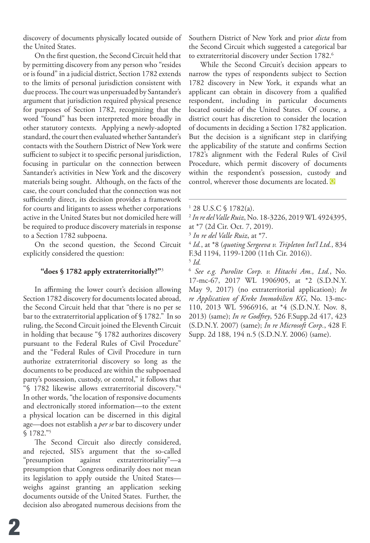discovery of documents physically located outside of the United States.

On the first question, the Second Circuit held that by permitting discovery from any person who "resides or is found" in a judicial district, Section 1782 extends to the limits of personal jurisdiction consistent with due process. The court was unpersuaded by Santander's argument that jurisdiction required physical presence for purposes of Section 1782, recognizing that the word "found" has been interpreted more broadly in other statutory contexts. Applying a newly-adopted standard, the court then evaluated whether Santander's contacts with the Southern District of New York were sufficient to subject it to specific personal jurisdiction, focusing in particular on the connection between Santander's activities in New York and the discovery materials being sought. Although, on the facts of the case, the court concluded that the connection was not sufficiently direct, its decision provides a framework for courts and litigants to assess whether corporations active in the United States but not domiciled here will be required to produce discovery materials in response to a Section 1782 subpoena.

On the second question, the Second Circuit explicitly considered the question:

#### **"does § 1782 apply extraterritorially?"**<sup>3</sup>

In affirming the lower court's decision allowing Section 1782 discovery for documents located abroad, the Second Circuit held that that "there is no per se bar to the extraterritorial application of § 1782." In so ruling, the Second Circuit joined the Eleventh Circuit in holding that because "§ 1782 authorizes discovery pursuant to the Federal Rules of Civil Procedure" and the "Federal Rules of Civil Procedure in turn authorize extraterritorial discovery so long as the documents to be produced are within the subpoenaed party's possession, custody, or control," it follows that "§ 1782 likewise allows extraterritorial discovery."4 In other words, "the location of responsive documents and electronically stored information—to the extent a physical location can be discerned in this digital age—does not establish a *per se* bar to discovery under § 1782."5

The Second Circuit also directly considered, and rejected, SIS's argument that the so-called "presumption against extraterritoriality"—a presumption that Congress ordinarily does not mean its legislation to apply outside the United States weighs against granting an application seeking documents outside of the United States. Further, the decision also abrogated numerous decisions from the

Southern District of New York and prior *dicta* from the Second Circuit which suggested a categorical bar to extraterritorial discovery under Section 1782.<sup>6</sup>

While the Second Circuit's decision appears to narrow the types of respondents subject to Section 1782 discovery in New York, it expands what an applicant can obtain in discovery from a qualified respondent, including in particular documents located outside of the United States. Of course, a district court has discretion to consider the location of documents in deciding a Section 1782 application. But the decision is a significant step in clarifying the applicability of the statute and confirms Section 1782's alignment with the Federal Rules of Civil Procedure, which permit discovery of documents within the respondent's possession, custody and control, wherever those documents are located. **Q**

- <sup>2</sup> *In re del Valle Ruiz*, No. 18-3226, 2019 WL 4924395,
- at \*7 (2d Cir. Oct. 7, 2019).
- <sup>3</sup> *In re del Valle Ruiz*, at \*7.

<sup>4</sup> *Id.*, at \*8 (*quoting Sergeeva v. Tripleton Int'l Ltd.*, 834 F.3d 1194, 1199-1200 (11th Cir. 2016)). <sup>5</sup> *Id.*

<sup>6</sup> *See e.g. Purolite Corp. v. Hitachi Am., Ltd.*, No. 17-mc-67, 2017 WL 1906905, at \*2 (S.D.N.Y. May 9, 2017) (no extraterritorial application); *In re Application of Kreke Immobilien KG*, No. 13-mc-110, 2013 WL 5966916, at \*4 (S.D.N.Y. Nov. 8, 2013) (same); *In re Godfrey*, 526 F.Supp.2d 417, 423 (S.D.N.Y. 2007) (same); *In re Microsoft Corp.*, 428 F. Supp. 2d 188, 194 n.5 (S.D.N.Y. 2006) (same).

<sup>1</sup> 28 U.S.C § 1782(a).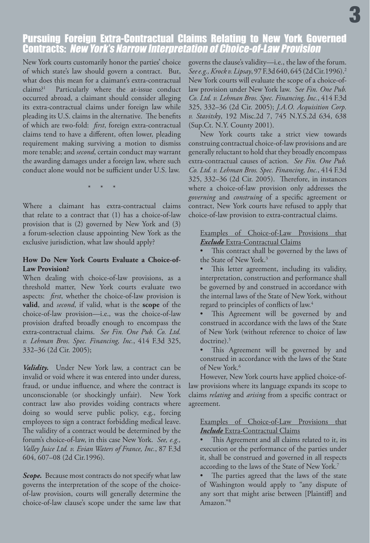# Pursuing Foreign Extra-Contractual Claims Relating to New York Governed Contracts: New York's Narrow Interpretation of Choice-of-Law Provision

New York courts customarily honor the parties' choice of which state's law should govern a contract. But, what does this mean for a claimant's extra-contractual claims?1 Particularly where the at-issue conduct occurred abroad, a claimant should consider alleging its extra-contractual claims under foreign law while pleading its U.S. claims in the alternative. The benefits of which are two-fold: *first*, foreign extra-contractual claims tend to have a different, often lower, pleading requirement making surviving a motion to dismiss more tenable; and *second*, certain conduct may warrant the awarding damages under a foreign law, where such conduct alone would not be sufficient under U.S. law.

\* \* \*

Where a claimant has extra-contractual claims that relate to a contract that (1) has a choice-of-law provision that is (2) governed by New York and (3) a forum-selection clause appointing New York as the exclusive jurisdiction, what law should apply?

#### **How Do New York Courts Evaluate a Choice-of-Law Provision?**

When dealing with choice-of-law provisions, as a threshold matter, New York courts evaluate two aspects: *first*, whether the choice-of-law provision is **valid**, and *second*, if valid, what is the **scope** of the choice-of-law provision—i.e., was the choice-of-law provision drafted broadly enough to encompass the extra-contractual claims. *See Fin. One Pub. Co. Ltd. v. Lehman Bros. Spec. Financing, Inc.*, 414 F.3d 325, 332–36 (2d Cir. 2005);

*Validity.* Under New York law, a contract can be invalid or void where it was entered into under duress, fraud, or undue influence, and where the contract is unconscionable (or shockingly unfair). New York contract law also provides voiding contracts where doing so would serve public policy, e.g., forcing employees to sign a contract forbidding medical leave. The validity of a contract would be determined by the forum's choice-of-law, in this case New York. *See, e.g., Valley Juice Ltd. v. Evian Waters of France, Inc.*, 87 F.3d 604, 607–08 (2d Cir.1996).

*Scope.* Because most contracts do not specify what law governs the interpretation of the scope of the choiceof-law provision, courts will generally determine the choice-of-law clause's scope under the same law that governs the clause's validity—i.e., the law of the forum. *See e.g., Krock v. Lipsay*, 97 F.3d 640, 645 (2d Cir.1996).2 New York courts will evaluate the scope of a choice-oflaw provision under New York law. S*ee Fin. One Pub. Co. Ltd. v. Lehman Bros. Spec. Financing, Inc.*, 414 F.3d 325, 332–36 (2d Cir. 2005); *J.A.O. Acquisition Corp. v. Stavitsky*, 192 Misc.2d 7, 745 N.Y.S.2d 634, 638 (Sup.Ct. N.Y. County 2001).

New York courts take a strict view towards construing contractual choice-of-law provisions and are generally reluctant to hold that they broadly encompass extra-contractual causes of action. *See Fin. One Pub. Co. Ltd. v. Lehman Bros. Spec. Financing, Inc.*, 414 F.3d 325, 332–36 (2d Cir. 2005). Therefore, in instances where a choice-of-law provision only addresses the *governing* and *construing* of a specific agreement or contract, New York courts have refused to apply that choice-of-law provision to extra-contractual claims.

Examples of Choice-of-Law Provisions that *Exclude* Extra-Contractual Claims

This contract shall be governed by the laws of the State of New York.<sup>3</sup>

This letter agreement, including its validity, interpretation, construction and performance shall be governed by and construed in accordance with the internal laws of the State of New York, without regard to principles of conflicts of law.<sup>4</sup>

This Agreement will be governed by and construed in accordance with the laws of the State of New York (without reference to choice of law doctrine).5

This Agreement will be governed by and construed in accordance with the laws of the State of New York.<sup>6</sup>

However, New York courts have applied choice-oflaw provisions where its language expands its scope to claims *relating* and *arising* from a specific contract or agreement.

Examples of Choice-of-Law Provisions that *Include* Extra-Contractual Claims

This Agreement and all claims related to it, its execution or the performance of the parties under it, shall be construed and governed in all respects according to the laws of the State of New York.7

The parties agreed that the laws of the state of Washington would apply to "any dispute of any sort that might arise between [Plaintiff] and Amazon."8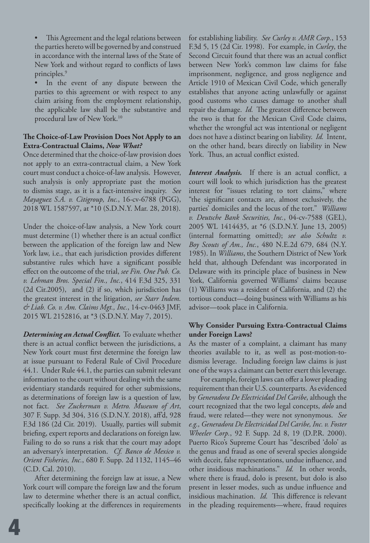• This Agreement and the legal relations between the parties hereto will be governed by and construed in accordance with the internal laws of the State of New York and without regard to conflicts of laws principles.<sup>9</sup>

In the event of any dispute between the parties to this agreement or with respect to any claim arising from the employment relationship, the applicable law shall be the substantive and procedural law of New York.10

#### **The Choice-of-Law Provision Does Not Apply to an Extra-Contractual Claims,** *Now What?*

Once determined that the choice-of-law provision does not apply to an extra-contractual claim, a New York court must conduct a choice-of-law analysis. However, such analysis is only appropriate past the motion to dismiss stage, as it is a fact-intensive inquiry. *See Mayaguez S.A. v. Citigroup, Inc.*, 16-cv-6788 (PGG), 2018 WL 1587597, at \*10 (S.D.N.Y. Mar. 28, 2018).

Under the choice-of-law analysis, a New York court must determine (1) whether there is an actual conflict between the application of the foreign law and New York law, i.e., that each jurisdiction provides different substantive rules which have a significant possible effect on the outcome of the trial, *see Fin. One Pub. Co. v. Lehman Bros. Special Fin., Inc.*, 414 F.3d 325, 331 (2d Cir.2005), and (2) if so, which jurisdiction has the greatest interest in the litigation, *see Starr Indem. & Liab. Co. v. Am. Claims Mgt., Inc.*, 14-cv-0463 JMF, 2015 WL 2152816, at \*3 (S.D.N.Y. May 7, 2015).

*Determining an Actual Conflict.* To evaluate whether there is an actual conflict between the jurisdictions, a New York court must first determine the foreign law at issue pursuant to Federal Rule of Civil Procedure 44.1. Under Rule 44.1, the parties can submit relevant information to the court without dealing with the same evidentiary standards required for other submissions, as determinations of foreign law is a question of law, not fact. *See Zuckerman v. Metro. Museum of Art*, 307 F. Supp. 3d 304, 316 (S.D.N.Y. 2018), aff'd, 928 F.3d 186 (2d Cir. 2019). Usually, parties will submit briefing, expert reports and declarations on foreign law. Failing to do so runs a risk that the court may adopt an adversary's interpretation. *Cf. Banco de Mexico v. Orient Fisheries, Inc.*, 680 F. Supp. 2d 1132, 1145–46 (C.D. Cal. 2010).

After determining the foreign law at issue, a New York court will compare the foreign law and the forum law to determine whether there is an actual conflict, specifically looking at the differences in requirements for establishing liability. *See Curley v. AMR Corp.*, 153 F.3d 5, 15 (2d Cir. 1998). For example, in *Curley*, the Second Circuit found that there was an actual conflict between New York's common law claims for false imprisonment, negligence, and gross negligence and Article 1910 of Mexican Civil Code, which generally establishes that anyone acting unlawfully or against good customs who causes damage to another shall repair the damage. *Id.* The greatest difference between the two is that for the Mexican Civil Code claims, whether the wrongful act was intentional or negligent does not have a distinct bearing on liability. *Id.* Intent, on the other hand, bears directly on liability in New York. Thus, an actual conflict existed.

*Interest Analysis.* If there is an actual conflict, a court will look to which jurisdiction has the greatest interest for "issues relating to tort claims," where "the significant contacts are, almost exclusively, the parties' domiciles and the locus of the tort." *Williams v. Deutsche Bank Securities, Inc.*, 04-cv-7588 (GEL), 2005 WL 1414435, at \*6 (S.D.N.Y. June 13, 2005) (internal formatting omitted); *see also Schultz v. Boy Scouts of Am., Inc.*, 480 N.E.2d 679, 684 (N.Y. 1985). In *Williams*, the Southern District of New York held that, although Defendant was incorporated in Delaware with its principle place of business in New York, California governed Williams' claims because (1) Williams was a resident of California, and (2) the tortious conduct—doing business with Williams as his advisor—took place in California.

#### **Why Consider Pursuing Extra-Contractual Claims under Foreign Laws?**

As the master of a complaint, a claimant has many theories available to it, as well as post-motion-todismiss leverage. Including foreign law claims is just one of the ways a claimant can better exert this leverage.

For example, foreign laws can offer a lower pleading requirement than their U.S. counterparts. As evidenced by *Generadora De Electricidad Del Caribe*, although the court recognized that the two legal concepts, *dolo* and fraud, were related—they were not synonymous. *See e.g., Generadora De Electricidad Del Caribe, Inc. v. Foster Wheeler Corp.*, 92 F. Supp. 2d 8, 19 (D.P.R. 2000). Puerto Rico's Supreme Court has "described 'dolo' as the genus and fraud as one of several species alongside with deceit, false representations, undue influence, and other insidious machinations." *Id.* In other words, where there is fraud, dolo is present, but dolo is also present in lesser modes, such as undue influence and insidious machination. *Id.* This difference is relevant in the pleading requirements—where, fraud requires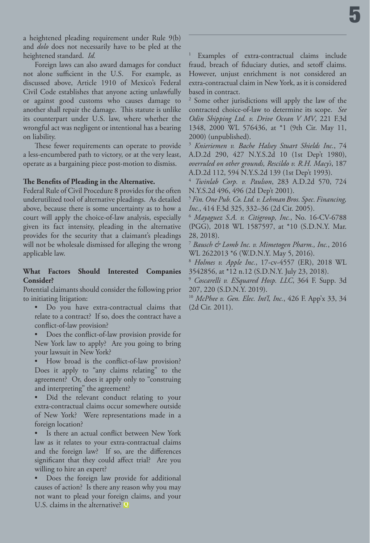a heightened pleading requirement under Rule 9(b) and *dolo* does not necessarily have to be pled at the heightened standard. *Id.*

Foreign laws can also award damages for conduct not alone sufficient in the U.S. For example, as discussed above, Article 1910 of Mexico's Federal Civil Code establishes that anyone acting unlawfully or against good customs who causes damage to another shall repair the damage. This statute is unlike its counterpart under U.S. law, where whether the wrongful act was negligent or intentional has a bearing on liability.

These fewer requirements can operate to provide a less-encumbered path to victory, or at the very least, operate as a bargaining piece post-motion to dismiss.

#### **The Benefits of Pleading in the Alternative.**

Federal Rule of Civil Procedure 8 provides for the often underutilized tool of alternative pleadings. As detailed above, because there is some uncertainty as to how a court will apply the choice-of-law analysis, especially given its fact intensity, pleading in the alternative provides for the security that a claimant's pleadings will not be wholesale dismissed for alleging the wrong applicable law.

#### **What Factors Should Interested Companies Consider?**

Potential claimants should consider the following prior to initiating litigation:

• Do you have extra-contractual claims that relate to a contract? If so, does the contract have a conflict-of-law provision?

• Does the conflict-of-law provision provide for New York law to apply? Are you going to bring your lawsuit in New York?

• How broad is the conflict-of-law provision? Does it apply to "any claims relating" to the agreement? Or, does it apply only to "construing and interpreting" the agreement?

Did the relevant conduct relating to your extra-contractual claims occur somewhere outside of New York? Were representations made in a foreign location?

Is there an actual conflict between New York law as it relates to your extra-contractual claims and the foreign law? If so, are the differences significant that they could affect trial? Are you willing to hire an expert?

• Does the foreign law provide for additional causes of action? Is there any reason why you may not want to plead your foreign claims, and your U.S. claims in the alternative? **Q**

<sup>1</sup> Examples of extra-contractual claims include fraud, breach of fiduciary duties, and setoff claims. However, unjust enrichment is not considered an extra-contractual claim in New York, as it is considered based in contract.

<sup>2</sup> Some other jurisdictions will apply the law of the contracted choice-of-law to determine its scope. *See Odin Shipping Ltd. v. Drive Ocean V MV*, 221 F.3d 1348, 2000 WL 576436, at \*1 (9th Cir. May 11, 2000) (unpublished).

<sup>3</sup> *Knieriemen v. Bache Halsey Stuart Shields Inc.*, 74 A.D.2d 290, 427 N.Y.S.2d 10 (1st Dep't 1980), *overruled on other grounds, Rescildo v. R.H. Macy's*, 187 A.D.2d 112, 594 N.Y.S.2d 139 (1st Dep't 1993).

<sup>4</sup> *Twinlab Corp. v. Paulson*, 283 A.D.2d 570, 724 N.Y.S.2d 496, 496 (2d Dep't 2001).

<sup>5</sup> *Fin. One Pub. Co. Ltd. v. Lehman Bros. Spec. Financing, Inc.*, 414 F.3d 325, 332–36 (2d Cir. 2005).

<sup>6</sup> *Mayaguez S.A. v. Citigroup, Inc.*, No. 16-CV-6788 (PGG), 2018 WL 1587597, at \*10 (S.D.N.Y. Mar. 28, 2018).

<sup>7</sup> *Bausch & Lomb Inc. v. Mimetogen Pharm., Inc.*, 2016 WL 2622013 \*6 (W.D.N.Y. May 5, 2016).

<sup>8</sup> *Holmes v. Apple Inc.*, 17-cv-4557 (ER), 2018 WL 3542856, at \*12 n.12 (S.D.N.Y. July 23, 2018).

<sup>9</sup> *Coscarelli v. ESquared Hosp. LLC*, 364 F. Supp. 3d 207, 220 (S.D.N.Y. 2019).

<sup>10</sup> *McPhee v. Gen. Elec. Int'l, Inc.*, 426 F. App'x 33, 34 (2d Cir. 2011).